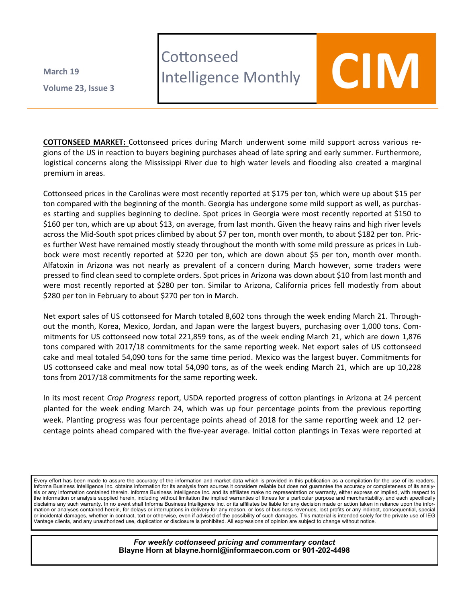**Volume 23 , Issue 3 March 19**

## **Cottonseed** LOTTONSeea<br>Intelligence Monthly **COIM**



**COTTONSEED MARKET:** Cottonseed prices during March underwent some mild support across various regions of the US in reaction to buyers begining purchases ahead of late spring and early summer. Furthermore, logistical concerns along the Mississippi River due to high water levels and flooding also created a marginal premium in areas.

Cottonseed prices in the Carolinas were most recently reported at \$175 per ton, which were up about \$15 per ton compared with the beginning of the month. Georgia has undergone some mild support as well, as purchases starting and supplies beginning to decline. Spot prices in Georgia were most recently reported at \$150 to \$160 per ton, which are up about \$13, on average, from last month. Given the heavy rains and high river levels across the Mid-South spot prices climbed by about \$7 per ton, month over month, to about \$182 per ton. Prices further West have remained mostly steady throughout the month with some mild pressure as prices in Lubbock were most recently reported at \$220 per ton, which are down about \$5 per ton, month over month. Alfatoxin in Arizona was not nearly as prevalent of a concern during March however, some traders were pressed to find clean seed to complete orders. Spot prices in Arizona was down about \$10 from last month and were most recently reported at \$280 per ton. Similar to Arizona, California prices fell modestly from about \$280 per ton in February to about \$270 per ton in March.

Net export sales of US cottonseed for March totaled 8,602 tons through the week ending March 21. Throughout the month, Korea, Mexico, Jordan, and Japan were the largest buyers, purchasing over 1,000 tons. Commitments for US cottonseed now total 221,859 tons, as of the week ending March 21, which are down 1,876 tons compared with 2017/18 commitments for the same reporting week. Net export sales of US cottonseed cake and meal totaled 54,090 tons for the same time period. Mexico was the largest buyer. Commitments for US cottonseed cake and meal now total 54,090 tons, as of the week ending March 21, which are up 10,228 tons from 2017/18 commitments for the same reporting week.

In its most recent *Crop Progress* report, USDA reported progress of cotton plantings in Arizona at 24 percent planted for the week ending March 24, which was up four percentage points from the previous reporting week. Planting progress was four percentage points ahead of 2018 for the same reporting week and 12 percentage points ahead compared with the five-year average. Initial cotton plantings in Texas were reported at

Every effort has been made to assure the accuracy of the information and market data which is provided in this publication as a compilation for the use of its readers. Informa Business Intelligence Inc. obtains information for its analysis from sources it considers reliable but does not guarantee the accuracy or completeness of its analysis or any information contained therein. Informa Business Intelligence Inc. and its affiliates make no representation or warranty, either express or implied, with respect to the information or analysis supplied herein, including without limitation the implied warranties of fitness for a particular purpose and merchantability, and each specifically disclaims any such warranty. In no event shall Informa Business Intelligence Inc. or its affiliates be liable for any decision made or action taken in reliance upon the information or analyses contained herein, for delays or interruptions in delivery for any reason, or loss of business revenues, lost profits or any indirect, consequential, special or incidental damages, whether in contract, tort or otherwise, even if advised of the possibility of such damages. This material is intended solely for the private use of IEG Vantage clients, and any unauthorized use, duplication or disclosure is prohibited. All expressions of opinion are subject to change without notice.

> *For weekly cottonseed pricing and commentary contact* **Blayne Horn at blayne.hornl@informaecon.com or 901-202-4498**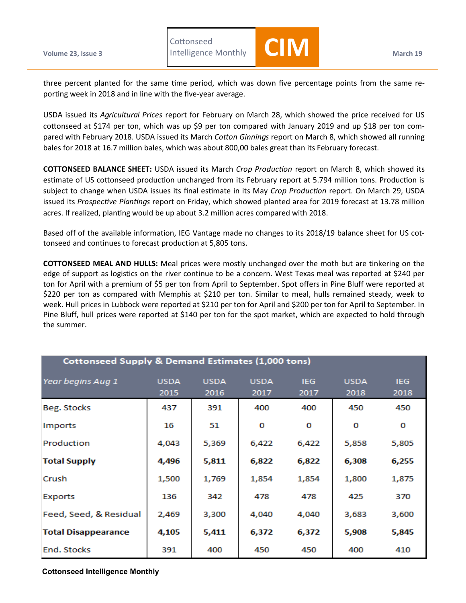three percent planted for the same time period, which was down five percentage points from the same reporting week in 2018 and in line with the five-year average.

Intelligence Monthly **CIM**

USDA issued its *Agricultural Prices* report for February on March 28, which showed the price received for US cottonseed at \$174 per ton, which was up \$9 per ton compared with January 2019 and up \$18 per ton compared with February 2018. USDA issued its March *Cotton Ginnings* report on March 8, which showed all running bales for 2018 at 16.7 million bales, which was about 800,00 bales great than its February forecast.

**COTTONSEED BALANCE SHEET:** USDA issued its March *Crop Production* report on March 8, which showed its estimate of US cottonseed production unchanged from its February report at 5.794 million tons. Production is subject to change when USDA issues its final estimate in its May *Crop Production* report. On March 29, USDA issued its *Prospective Plantings* report on Friday, which showed planted area for 2019 forecast at 13.78 million acres. If realized, planting would be up about 3.2 million acres compared with 2018.

Based off of the available information, IEG Vantage made no changes to its 2018/19 balance sheet for US cottonseed and continues to forecast production at 5,805 tons.

**COTTONSEED MEAL AND HULLS:** Meal prices were mostly unchanged over the moth but are tinkering on the edge of support as logistics on the river continue to be a concern. West Texas meal was reported at \$240 per ton for April with a premium of \$5 per ton from April to September. Spot offers in Pine Bluff were reported at \$220 per ton as compared with Memphis at \$210 per ton. Similar to meal, hulls remained steady, week to week. Hull prices in Lubbock were reported at \$210 per ton for April and \$200 per ton for April to September. In Pine Bluff, hull prices were reported at \$140 per ton for the spot market, which are expected to hold through the summer.

| <b>Cottonseed Supply &amp; Demand Estimates (1,000 tons)</b> |                     |                     |                     |                    |                     |                    |  |  |
|--------------------------------------------------------------|---------------------|---------------------|---------------------|--------------------|---------------------|--------------------|--|--|
| Year begins Aug 1                                            | <b>USDA</b><br>2015 | <b>USDA</b><br>2016 | <b>USDA</b><br>2017 | <b>IEG</b><br>2017 | <b>USDA</b><br>2018 | <b>IEG</b><br>2018 |  |  |
| Beg. Stocks                                                  | 437                 | 391                 | 400                 | 400                | 450                 | 450                |  |  |
| Imports                                                      | 16                  | 51                  | 0                   | O                  | O                   | 0                  |  |  |
| Production                                                   | 4,043               | 5,369               | 6,422               | 6,422              | 5,858               | 5,805              |  |  |
| <b>Total Supply</b>                                          | 4,496               | 5,811               | 6,822               | 6,822              | 6,308               | 6,255              |  |  |
| Crush                                                        | 1,500               | 1,769               | 1,854               | 1,854              | 1,800               | 1,875              |  |  |
| Exports                                                      | 136                 | 342                 | 478                 | 478                | 425                 | 370                |  |  |
| Feed, Seed, & Residual                                       | 2,469               | 3,300               | 4,040               | 4,040              | 3,683               | 3,600              |  |  |
| <b>Total Disappearance</b>                                   | 4,105               | 5,411               | 6,372               | 6,372              | 5,908               | 5,845              |  |  |
| End. Stocks                                                  | 391                 | 400                 | 450                 | 450                | 400                 | 410                |  |  |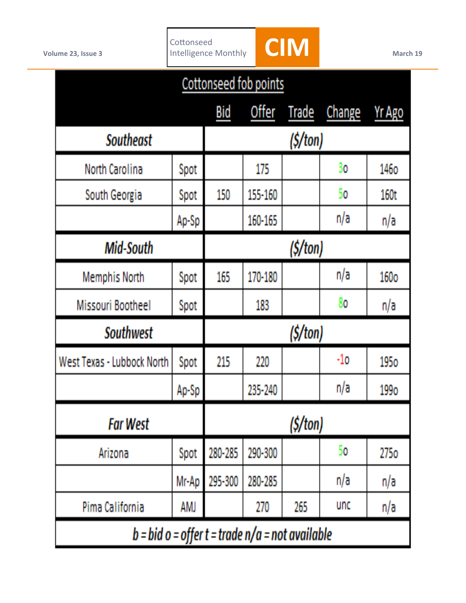

| Cottonseed fob points                             |             |            |         |              |            |               |
|---------------------------------------------------|-------------|------------|---------|--------------|------------|---------------|
|                                                   |             | <b>Bid</b> | Offer   | <b>Trade</b> | Change     | <b>Yr Ago</b> |
| <b>Southeast</b>                                  | (S/ton)     |            |         |              |            |               |
| North Carolina                                    | Spot        |            | 175     |              | 30         | 1460          |
| South Georgia                                     | Spot        | 150        | 155-160 |              | 50         | 160t          |
|                                                   | Ap-Sp       |            | 160-165 |              | n/a        | n/a           |
| <b>Mid-South</b>                                  | (S/ton)     |            |         |              |            |               |
| <b>Memphis North</b>                              | Spot        | 165        | 170-180 |              | n/a        | 160o          |
| <b>Missouri Bootheel</b>                          | <b>Spot</b> |            | 183     |              | 80         | n/a           |
| <b>Southwest</b>                                  | (S/ton)     |            |         |              |            |               |
| West Texas - Lubbock North                        | Spot        | 215        | 220     |              | -10        | 1950          |
|                                                   | Ap-Sp       |            | 235-240 |              | n/a        | 1990          |
| <b>Far West</b>                                   | (S/ton)     |            |         |              |            |               |
| Arizona                                           | Spot        | 280-285    | 290-300 |              | 50         | 2750          |
|                                                   | Mr Ap       | 295-300    | 280-285 |              | n/a        | n/a           |
| Pima California                                   | AMJ         |            | 270     | 265          | <b>und</b> | n/a           |
| b = bid o = offer t = trade $n/a$ = not available |             |            |         |              |            |               |